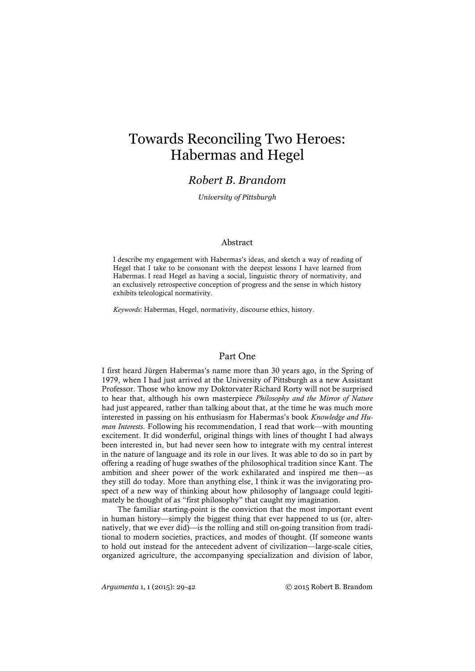# Towards Reconciling Two Heroes: Habermas and Hegel

## *Robert B. Brandom*

*University of Pittsburgh*

#### Abstract

I describe my engagement with Habermas's ideas, and sketch a way of reading of Hegel that I take to be consonant with the deepest lessons I have learned from Habermas. I read Hegel as having a social, linguistic theory of normativity, and an exclusively retrospective conception of progress and the sense in which history exhibits teleological normativity.

*Keywords*: Habermas, Hegel, normativity, discourse ethics, history.

#### Part One

I first heard Jürgen Habermas's name more than 30 years ago, in the Spring of 1979, when I had just arrived at the University of Pittsburgh as a new Assistant Professor. Those who know my Doktorvater Richard Rorty will not be surprised to hear that, although his own masterpiece *Philosophy and the Mirror of Nature* had just appeared, rather than talking about that, at the time he was much more interested in passing on his enthusiasm for Habermas's book *Knowledge and Human Interests*. Following his recommendation, I read that work—with mounting excitement. It did wonderful, original things with lines of thought I had always been interested in, but had never seen how to integrate with my central interest in the nature of language and its role in our lives. It was able to do so in part by offering a reading of huge swathes of the philosophical tradition since Kant. The ambition and sheer power of the work exhilarated and inspired me then—as they still do today. More than anything else, I think it was the invigorating prospect of a new way of thinking about how philosophy of language could legitimately be thought of as "first philosophy" that caught my imagination.

The familiar starting-point is the conviction that the most important event in human history—simply the biggest thing that ever happened to us (or, alternatively, that we ever did)—is the rolling and still on-going transition from traditional to modern societies, practices, and modes of thought. (If someone wants to hold out instead for the antecedent advent of civilization—large-scale cities, organized agriculture, the accompanying specialization and division of labor,

*Argumenta* 1, 1 (2015): 29-42 © 2015 Robert B. Brandom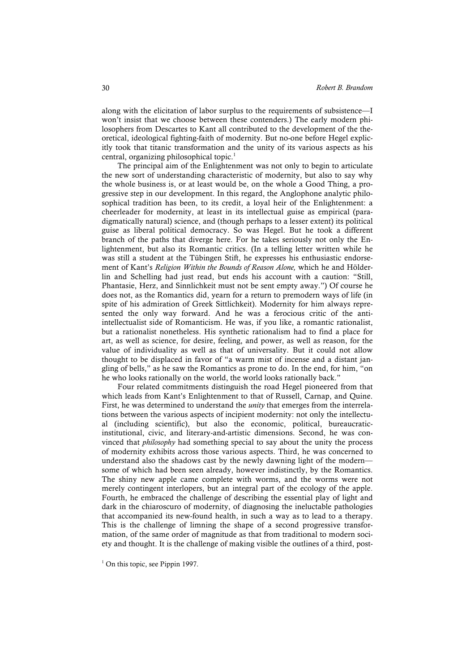along with the elicitation of labor surplus to the requirements of subsistence—I won't insist that we choose between these contenders.) The early modern philosophers from Descartes to Kant all contributed to the development of the theoretical, ideological fighting-faith of modernity. But no-one before Hegel explicitly took that titanic transformation and the unity of its various aspects as his central, organizing philosophical topic.<sup>1</sup>

The principal aim of the Enlightenment was not only to begin to articulate the new sort of understanding characteristic of modernity, but also to say why the whole business is, or at least would be, on the whole a Good Thing, a progressive step in our development. In this regard, the Anglophone analytic philosophical tradition has been, to its credit, a loyal heir of the Enlightenment: a cheerleader for modernity, at least in its intellectual guise as empirical (paradigmatically natural) science, and (though perhaps to a lesser extent) its political guise as liberal political democracy. So was Hegel. But he took a different branch of the paths that diverge here. For he takes seriously not only the Enlightenment, but also its Romantic critics. (In a telling letter written while he was still a student at the Tübingen Stift, he expresses his enthusiastic endorsement of Kant's *Religion Within the Bounds of Reason Alone,* which he and Hölderlin and Schelling had just read, but ends his account with a caution: "Still, Phantasie, Herz, and Sinnlichkeit must not be sent empty away.") Of course he does not, as the Romantics did, yearn for a return to premodern ways of life (in spite of his admiration of Greek Sittlichkeit). Modernity for him always represented the only way forward. And he was a ferocious critic of the antiintellectualist side of Romanticism. He was, if you like, a romantic rationalist, but a rationalist nonetheless. His synthetic rationalism had to find a place for art, as well as science, for desire, feeling, and power, as well as reason, for the value of individuality as well as that of universality. But it could not allow thought to be displaced in favor of "a warm mist of incense and a distant jangling of bells," as he saw the Romantics as prone to do. In the end, for him, "on he who looks rationally on the world, the world looks rationally back."

Four related commitments distinguish the road Hegel pioneered from that which leads from Kant's Enlightenment to that of Russell, Carnap, and Quine. First, he was determined to understand the *unity* that emerges from the interrelations between the various aspects of incipient modernity: not only the intellectual (including scientific), but also the economic, political, bureaucraticinstitutional, civic, and literary-and-artistic dimensions. Second, he was convinced that *philosophy* had something special to say about the unity the process of modernity exhibits across those various aspects. Third, he was concerned to understand also the shadows cast by the newly dawning light of the modern some of which had been seen already, however indistinctly, by the Romantics. The shiny new apple came complete with worms, and the worms were not merely contingent interlopers, but an integral part of the ecology of the apple. Fourth, he embraced the challenge of describing the essential play of light and dark in the chiaroscuro of modernity, of diagnosing the ineluctable pathologies that accompanied its new-found health, in such a way as to lead to a therapy. This is the challenge of limning the shape of a second progressive transformation, of the same order of magnitude as that from traditional to modern society and thought. It is the challenge of making visible the outlines of a third, post-

 $<sup>1</sup>$  On this topic, see Pippin 1997.</sup>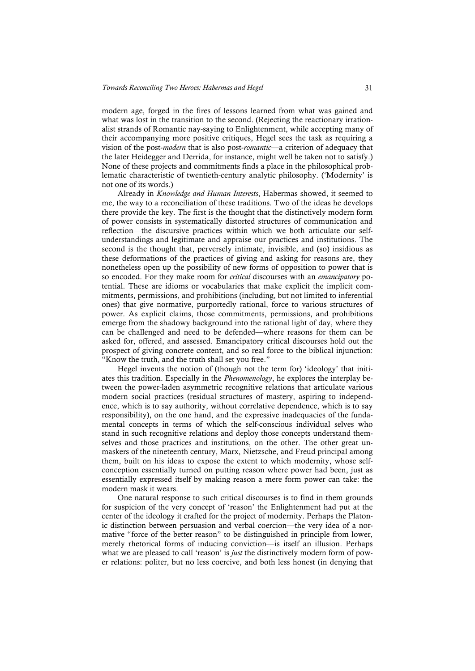modern age, forged in the fires of lessons learned from what was gained and what was lost in the transition to the second. (Rejecting the reactionary irrationalist strands of Romantic nay-saying to Enlightenment, while accepting many of their accompanying more positive critiques, Hegel sees the task as requiring a vision of the post-*modern* that is also post-*romantic*—a criterion of adequacy that the later Heidegger and Derrida, for instance, might well be taken not to satisfy.) None of these projects and commitments finds a place in the philosophical problematic characteristic of twentieth-century analytic philosophy. ('Modernity' is not one of its words.)

Already in *Knowledge and Human Interests*, Habermas showed, it seemed to me, the way to a reconciliation of these traditions. Two of the ideas he develops there provide the key. The first is the thought that the distinctively modern form of power consists in systematically distorted structures of communication and reflection—the discursive practices within which we both articulate our selfunderstandings and legitimate and appraise our practices and institutions. The second is the thought that, perversely intimate, invisible, and (so) insidious as these deformations of the practices of giving and asking for reasons are, they nonetheless open up the possibility of new forms of opposition to power that is so encoded. For they make room for *critical* discourses with an *emancipatory* potential. These are idioms or vocabularies that make explicit the implicit commitments, permissions, and prohibitions (including, but not limited to inferential ones) that give normative, purportedly rational, force to various structures of power. As explicit claims, those commitments, permissions, and prohibitions emerge from the shadowy background into the rational light of day, where they can be challenged and need to be defended—where reasons for them can be asked for, offered, and assessed. Emancipatory critical discourses hold out the prospect of giving concrete content, and so real force to the biblical injunction: "Know the truth, and the truth shall set you free."

Hegel invents the notion of (though not the term for) 'ideology' that initiates this tradition. Especially in the *Phenomenology*, he explores the interplay between the power-laden asymmetric recognitive relations that articulate various modern social practices (residual structures of mastery, aspiring to independence, which is to say authority, without correlative dependence, which is to say responsibility), on the one hand, and the expressive inadequacies of the fundamental concepts in terms of which the self-conscious individual selves who stand in such recognitive relations and deploy those concepts understand themselves and those practices and institutions, on the other. The other great unmaskers of the nineteenth century, Marx, Nietzsche, and Freud principal among them, built on his ideas to expose the extent to which modernity, whose selfconception essentially turned on putting reason where power had been, just as essentially expressed itself by making reason a mere form power can take: the modern mask it wears.

One natural response to such critical discourses is to find in them grounds for suspicion of the very concept of 'reason' the Enlightenment had put at the center of the ideology it crafted for the project of modernity. Perhaps the Platonic distinction between persuasion and verbal coercion—the very idea of a normative "force of the better reason" to be distinguished in principle from lower, merely rhetorical forms of inducing conviction—is itself an illusion. Perhaps what we are pleased to call 'reason' is *just* the distinctively modern form of power relations: politer, but no less coercive, and both less honest (in denying that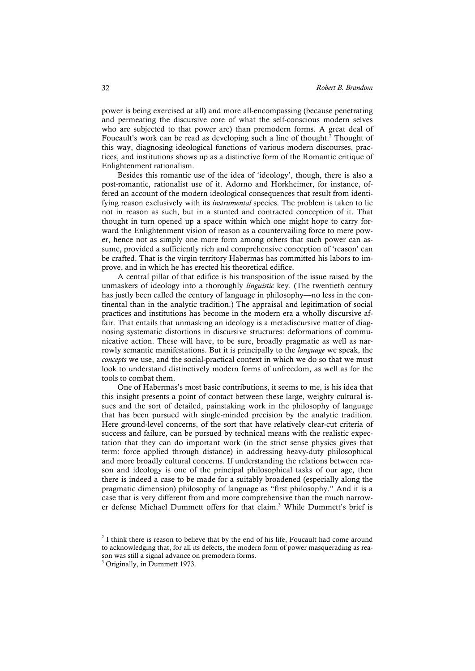power is being exercised at all) and more all-encompassing (because penetrating and permeating the discursive core of what the self-conscious modern selves who are subjected to that power are) than premodern forms. A great deal of Foucault's work can be read as developing such a line of thought.<sup>2</sup> Thought of this way, diagnosing ideological functions of various modern discourses, practices, and institutions shows up as a distinctive form of the Romantic critique of Enlightenment rationalism.

Besides this romantic use of the idea of 'ideology', though, there is also a post-romantic, rationalist use of it. Adorno and Horkheimer, for instance, offered an account of the modern ideological consequences that result from identifying reason exclusively with its *instrumental* species. The problem is taken to lie not in reason as such, but in a stunted and contracted conception of it. That thought in turn opened up a space within which one might hope to carry forward the Enlightenment vision of reason as a countervailing force to mere power, hence not as simply one more form among others that such power can assume, provided a sufficiently rich and comprehensive conception of 'reason' can be crafted. That is the virgin territory Habermas has committed his labors to improve, and in which he has erected his theoretical edifice.

A central pillar of that edifice is his transposition of the issue raised by the unmaskers of ideology into a thoroughly *linguistic* key. (The twentieth century has justly been called the century of language in philosophy—no less in the continental than in the analytic tradition.) The appraisal and legitimation of social practices and institutions has become in the modern era a wholly discursive affair. That entails that unmasking an ideology is a metadiscursive matter of diagnosing systematic distortions in discursive structures: deformations of communicative action. These will have, to be sure, broadly pragmatic as well as narrowly semantic manifestations. But it is principally to the *language* we speak, the *concepts* we use, and the social-practical context in which we do so that we must look to understand distinctively modern forms of unfreedom, as well as for the tools to combat them.

One of Habermas's most basic contributions, it seems to me, is his idea that this insight presents a point of contact between these large, weighty cultural issues and the sort of detailed, painstaking work in the philosophy of language that has been pursued with single-minded precision by the analytic tradition. Here ground-level concerns, of the sort that have relatively clear-cut criteria of success and failure, can be pursued by technical means with the realistic expectation that they can do important work (in the strict sense physics gives that term: force applied through distance) in addressing heavy-duty philosophical and more broadly cultural concerns. If understanding the relations between reason and ideology is one of the principal philosophical tasks of our age, then there is indeed a case to be made for a suitably broadened (especially along the pragmatic dimension) philosophy of language as "first philosophy." And it is a case that is very different from and more comprehensive than the much narrower defense Michael Dummett offers for that claim.3 While Dummett's brief is

 $2$  I think there is reason to believe that by the end of his life, Foucault had come around to acknowledging that, for all its defects, the modern form of power masquerading as reason was still a signal advance on premodern forms.

<sup>3</sup> Originally, in Dummett 1973.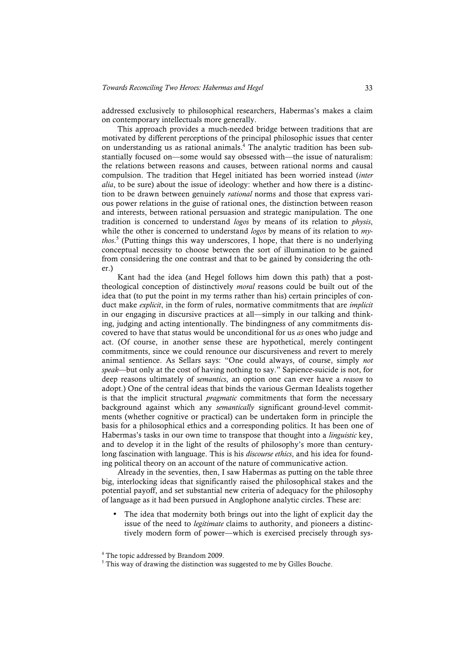addressed exclusively to philosophical researchers, Habermas's makes a claim on contemporary intellectuals more generally.

This approach provides a much-needed bridge between traditions that are motivated by different perceptions of the principal philosophic issues that center on understanding us as rational animals.4 The analytic tradition has been substantially focused on—some would say obsessed with—the issue of naturalism: the relations between reasons and causes, between rational norms and causal compulsion. The tradition that Hegel initiated has been worried instead (*inter alia*, to be sure) about the issue of ideology: whether and how there is a distinction to be drawn between genuinely *rational* norms and those that express various power relations in the guise of rational ones, the distinction between reason and interests, between rational persuasion and strategic manipulation. The one tradition is concerned to understand *logos* by means of its relation to *physis*, while the other is concerned to understand *logos* by means of its relation to *mythos*. <sup>5</sup> (Putting things this way underscores, I hope, that there is no underlying conceptual necessity to choose between the sort of illumination to be gained from considering the one contrast and that to be gained by considering the other.)

Kant had the idea (and Hegel follows him down this path) that a posttheological conception of distinctively *moral* reasons could be built out of the idea that (to put the point in my terms rather than his) certain principles of conduct make *explicit*, in the form of rules, normative commitments that are *implicit* in our engaging in discursive practices at all—simply in our talking and thinking, judging and acting intentionally. The bindingness of any commitments discovered to have that status would be unconditional for us *as* ones who judge and act. (Of course, in another sense these are hypothetical, merely contingent commitments, since we could renounce our discursiveness and revert to merely animal sentience. As Sellars says: "One could always, of course, simply *not speak*—but only at the cost of having nothing to say." Sapience-suicide is not, for deep reasons ultimately of *semantics*, an option one can ever have a *reason* to adopt.) One of the central ideas that binds the various German Idealists together is that the implicit structural *pragmatic* commitments that form the necessary background against which any *semantically* significant ground-level commitments (whether cognitive or practical) can be undertaken form in principle the basis for a philosophical ethics and a corresponding politics. It has been one of Habermas's tasks in our own time to transpose that thought into a *linguistic* key, and to develop it in the light of the results of philosophy's more than centurylong fascination with language. This is his *discourse ethics*, and his idea for founding political theory on an account of the nature of communicative action.

Already in the seventies, then, I saw Habermas as putting on the table three big, interlocking ideas that significantly raised the philosophical stakes and the potential payoff, and set substantial new criteria of adequacy for the philosophy of language as it had been pursued in Anglophone analytic circles. These are:

The idea that modernity both brings out into the light of explicit day the issue of the need to *legitimate* claims to authority, and pioneers a distinctively modern form of power—which is exercised precisely through sys-

<sup>4</sup> The topic addressed by Brandom 2009.

<sup>&</sup>lt;sup>5</sup> This way of drawing the distinction was suggested to me by Gilles Bouche.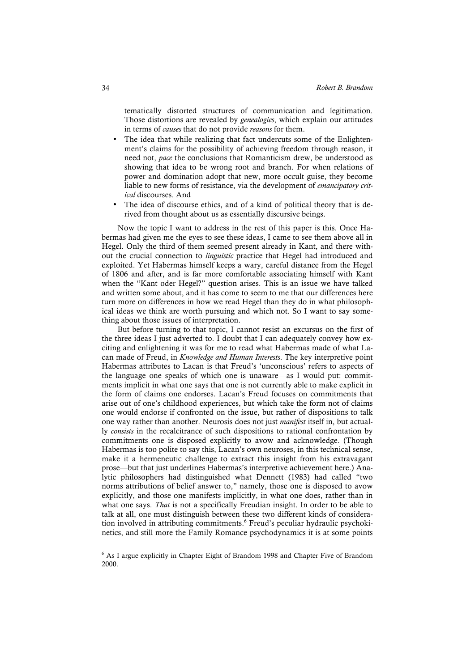tematically distorted structures of communication and legitimation. Those distortions are revealed by *genealogies*, which explain our attitudes in terms of *causes* that do not provide *reasons* for them.

- The idea that while realizing that fact undercuts some of the Enlightenment's claims for the possibility of achieving freedom through reason, it need not, *pace* the conclusions that Romanticism drew, be understood as showing that idea to be wrong root and branch. For when relations of power and domination adopt that new, more occult guise, they become liable to new forms of resistance, via the development of *emancipatory critical* discourses. And
- The idea of discourse ethics, and of a kind of political theory that is derived from thought about us as essentially discursive beings.

Now the topic I want to address in the rest of this paper is this. Once Habermas had given me the eyes to see these ideas, I came to see them above all in Hegel. Only the third of them seemed present already in Kant, and there without the crucial connection to *linguistic* practice that Hegel had introduced and exploited. Yet Habermas himself keeps a wary, careful distance from the Hegel of 1806 and after, and is far more comfortable associating himself with Kant when the "Kant oder Hegel?" question arises. This is an issue we have talked and written some about, and it has come to seem to me that our differences here turn more on differences in how we read Hegel than they do in what philosophical ideas we think are worth pursuing and which not. So I want to say something about those issues of interpretation.

But before turning to that topic, I cannot resist an excursus on the first of the three ideas I just adverted to. I doubt that I can adequately convey how exciting and enlightening it was for me to read what Habermas made of what Lacan made of Freud, in *Knowledge and Human Interests*. The key interpretive point Habermas attributes to Lacan is that Freud's 'unconscious' refers to aspects of the language one speaks of which one is unaware—as I would put: commitments implicit in what one says that one is not currently able to make explicit in the form of claims one endorses. Lacan's Freud focuses on commitments that arise out of one's childhood experiences, but which take the form not of claims one would endorse if confronted on the issue, but rather of dispositions to talk one way rather than another. Neurosis does not just *manifest* itself in, but actually *consists* in the recalcitrance of such dispositions to rational confrontation by commitments one is disposed explicitly to avow and acknowledge. (Though Habermas is too polite to say this, Lacan's own neuroses, in this technical sense, make it a hermeneutic challenge to extract this insight from his extravagant prose—but that just underlines Habermas's interpretive achievement here.) Analytic philosophers had distinguished what Dennett (1983) had called "two norms attributions of belief answer to," namely, those one is disposed to avow explicitly, and those one manifests implicitly, in what one does, rather than in what one says. *That* is not a specifically Freudian insight. In order to be able to talk at all, one must distinguish between these two different kinds of consideration involved in attributing commitments.<sup>6</sup> Freud's peculiar hydraulic psychokinetics, and still more the Family Romance psychodynamics it is at some points

<sup>6</sup> As I argue explicitly in Chapter Eight of Brandom 1998 and Chapter Five of Brandom 2000.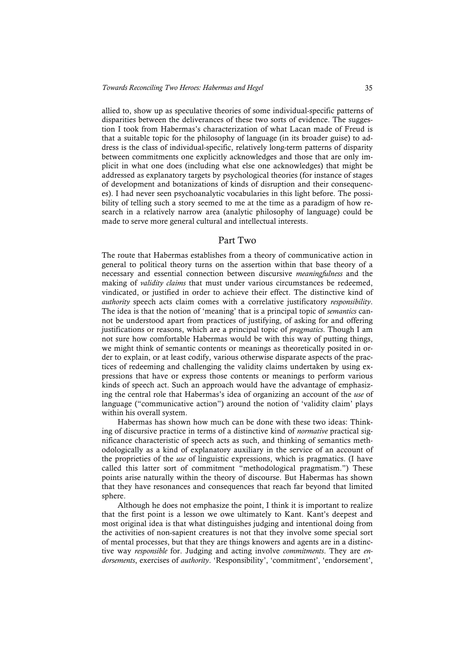allied to, show up as speculative theories of some individual-specific patterns of disparities between the deliverances of these two sorts of evidence. The suggestion I took from Habermas's characterization of what Lacan made of Freud is that a suitable topic for the philosophy of language (in its broader guise) to address is the class of individual-specific, relatively long-term patterns of disparity between commitments one explicitly acknowledges and those that are only implicit in what one does (including what else one acknowledges) that might be addressed as explanatory targets by psychological theories (for instance of stages of development and botanizations of kinds of disruption and their consequences). I had never seen psychoanalytic vocabularies in this light before. The possibility of telling such a story seemed to me at the time as a paradigm of how research in a relatively narrow area (analytic philosophy of language) could be made to serve more general cultural and intellectual interests.

### Part Two

The route that Habermas establishes from a theory of communicative action in general to political theory turns on the assertion within that base theory of a necessary and essential connection between discursive *meaningfulness* and the making of *validity claims* that must under various circumstances be redeemed, vindicated, or justified in order to achieve their effect. The distinctive kind of *authority* speech acts claim comes with a correlative justificatory *responsibility*. The idea is that the notion of 'meaning' that is a principal topic of *semantics* cannot be understood apart from practices of justifying, of asking for and offering justifications or reasons, which are a principal topic of *pragmatics*. Though I am not sure how comfortable Habermas would be with this way of putting things, we might think of semantic contents or meanings as theoretically posited in order to explain, or at least codify, various otherwise disparate aspects of the practices of redeeming and challenging the validity claims undertaken by using expressions that have or express those contents or meanings to perform various kinds of speech act. Such an approach would have the advantage of emphasizing the central role that Habermas's idea of organizing an account of the *use* of language ("communicative action") around the notion of 'validity claim' plays within his overall system.

Habermas has shown how much can be done with these two ideas: Thinking of discursive practice in terms of a distinctive kind of *normative* practical significance characteristic of speech acts as such, and thinking of semantics methodologically as a kind of explanatory auxiliary in the service of an account of the proprieties of the *use* of linguistic expressions, which is pragmatics. (I have called this latter sort of commitment "methodological pragmatism.") These points arise naturally within the theory of discourse. But Habermas has shown that they have resonances and consequences that reach far beyond that limited sphere.

Although he does not emphasize the point, I think it is important to realize that the first point is a lesson we owe ultimately to Kant. Kant's deepest and most original idea is that what distinguishes judging and intentional doing from the activities of non-sapient creatures is not that they involve some special sort of mental processes, but that they are things knowers and agents are in a distinctive way *responsible* for. Judging and acting involve *commitments*. They are *endorsements*, exercises of *authority*. 'Responsibility', 'commitment', 'endorsement',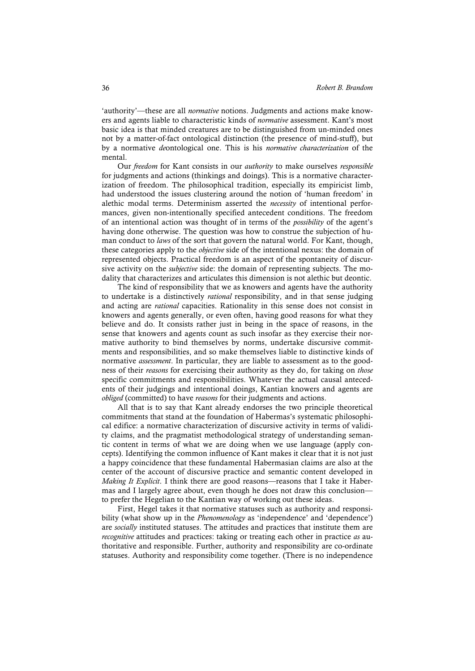'authority'—these are all *normative* notions. Judgments and actions make knowers and agents liable to characteristic kinds of *normative* assessment. Kant's most basic idea is that minded creatures are to be distinguished from un-minded ones not by a matter-of-fact ontological distinction (the presence of mind-stuff), but by a normative *de*ontological one. This is his *normative characterization* of the mental.

Our *freedom* for Kant consists in our *authority* to make ourselves *responsible* for judgments and actions (thinkings and doings). This is a normative characterization of freedom. The philosophical tradition, especially its empiricist limb, had understood the issues clustering around the notion of 'human freedom' in alethic modal terms. Determinism asserted the *necessity* of intentional performances, given non-intentionally specified antecedent conditions. The freedom of an intentional action was thought of in terms of the *possibility* of the agent's having done otherwise. The question was how to construe the subjection of human conduct to *laws* of the sort that govern the natural world. For Kant, though, these categories apply to the *objective* side of the intentional nexus: the domain of represented objects. Practical freedom is an aspect of the spontaneity of discursive activity on the *subjective* side: the domain of representing subjects. The modality that characterizes and articulates this dimension is not alethic but deontic.

The kind of responsibility that we as knowers and agents have the authority to undertake is a distinctively *rational* responsibility, and in that sense judging and acting are *rational* capacities. Rationality in this sense does not consist in knowers and agents generally, or even often, having good reasons for what they believe and do. It consists rather just in being in the space of reasons, in the sense that knowers and agents count as such insofar as they exercise their normative authority to bind themselves by norms, undertake discursive commitments and responsibilities, and so make themselves liable to distinctive kinds of normative *assessment*. In particular, they are liable to assessment as to the goodness of their *reasons* for exercising their authority as they do, for taking on *those* specific commitments and responsibilities. Whatever the actual causal antecedents of their judgings and intentional doings, Kantian knowers and agents are *obliged* (committed) to have *reasons* for their judgments and actions.

All that is to say that Kant already endorses the two principle theoretical commitments that stand at the foundation of Habermas's systematic philosophical edifice: a normative characterization of discursive activity in terms of validity claims, and the pragmatist methodological strategy of understanding semantic content in terms of what we are doing when we use language (apply concepts). Identifying the common influence of Kant makes it clear that it is not just a happy coincidence that these fundamental Habermasian claims are also at the center of the account of discursive practice and semantic content developed in *Making It Explicit*. I think there are good reasons—reasons that I take it Habermas and I largely agree about, even though he does not draw this conclusion to prefer the Hegelian to the Kantian way of working out these ideas.

First, Hegel takes it that normative statuses such as authority and responsibility (what show up in the *Phenomenology* as 'independence' and 'dependence') are *socially* instituted statuses. The attitudes and practices that institute them are *recognitive* attitudes and practices: taking or treating each other in practice *as* authoritative and responsible. Further, authority and responsibility are co-ordinate statuses. Authority and responsibility come together. (There is no independence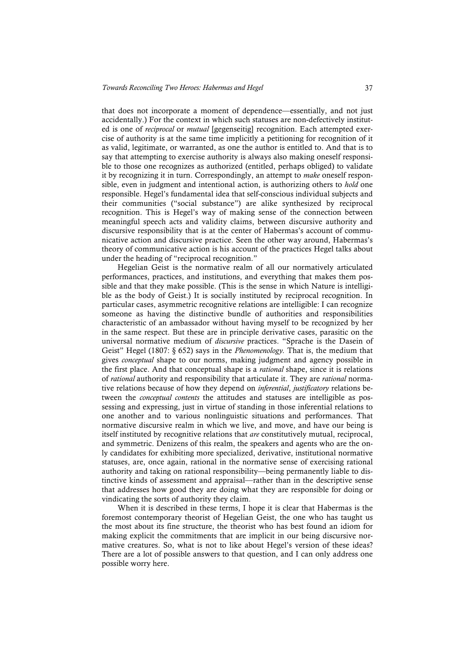that does not incorporate a moment of dependence—essentially, and not just accidentally.) For the context in which such statuses are non-defectively instituted is one of *reciprocal* or *mutual* [gegenseitig] recognition. Each attempted exercise of authority is at the same time implicitly a petitioning for recognition of it as valid, legitimate, or warranted, as one the author is entitled to. And that is to say that attempting to exercise authority is always also making oneself responsible to those one recognizes as authorized (entitled, perhaps obliged) to validate it by recognizing it in turn. Correspondingly, an attempt to *make* oneself responsible, even in judgment and intentional action, is authorizing others to *hold* one responsible. Hegel's fundamental idea that self-conscious individual subjects and their communities ("social substance") are alike synthesized by reciprocal recognition. This is Hegel's way of making sense of the connection between meaningful speech acts and validity claims, between discursive authority and discursive responsibility that is at the center of Habermas's account of communicative action and discursive practice. Seen the other way around, Habermas's theory of communicative action is his account of the practices Hegel talks about under the heading of "reciprocal recognition."

Hegelian Geist is the normative realm of all our normatively articulated performances, practices, and institutions, and everything that makes them possible and that they make possible. (This is the sense in which Nature is intelligible as the body of Geist.) It is socially instituted by reciprocal recognition. In particular cases, asymmetric recognitive relations are intelligible: I can recognize someone as having the distinctive bundle of authorities and responsibilities characteristic of an ambassador without having myself to be recognized by her in the same respect. But these are in principle derivative cases, parasitic on the universal normative medium of *discursive* practices. "Sprache is the Dasein of Geist" Hegel (1807: § 652) says in the *Phenomenology.* That is, the medium that gives *conceptual* shape to our norms, making judgment and agency possible in the first place. And that conceptual shape is a *rational* shape, since it is relations of *rational* authority and responsibility that articulate it. They are *rational* normative relations because of how they depend on *inferential*, *justificatory* relations between the *conceptual contents* the attitudes and statuses are intelligible as possessing and expressing, just in virtue of standing in those inferential relations to one another and to various nonlinguistic situations and performances. That normative discursive realm in which we live, and move, and have our being is itself instituted by recognitive relations that *are* constitutively mutual, reciprocal, and symmetric. Denizens of this realm, the speakers and agents who are the only candidates for exhibiting more specialized, derivative, institutional normative statuses, are, once again, rational in the normative sense of exercising rational authority and taking on rational responsibility—being permanently liable to distinctive kinds of assessment and appraisal—rather than in the descriptive sense that addresses how good they are doing what they are responsible for doing or vindicating the sorts of authority they claim.

When it is described in these terms, I hope it is clear that Habermas is the foremost contemporary theorist of Hegelian Geist, the one who has taught us the most about its fine structure, the theorist who has best found an idiom for making explicit the commitments that are implicit in our being discursive normative creatures. So, what is not to like about Hegel's version of these ideas? There are a lot of possible answers to that question, and I can only address one possible worry here.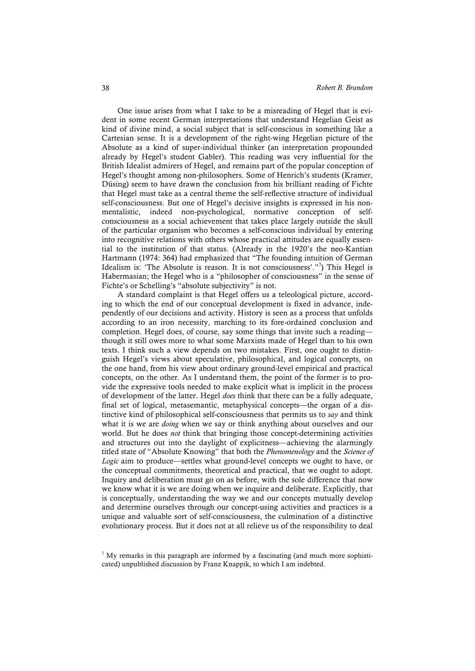One issue arises from what I take to be a misreading of Hegel that is evident in some recent German interpretations that understand Hegelian Geist as kind of divine mind, a social subject that is self-conscious in something like a Cartesian sense. It is a development of the right-wing Hegelian picture of the Absolute as a kind of super-individual thinker (an interpretation propounded already by Hegel's student Gabler). This reading was very influential for the British Idealist admirers of Hegel, and remains part of the popular conception of Hegel's thought among non-philosophers. Some of Henrich's students (Kramer, Düsing) seem to have drawn the conclusion from his brilliant reading of Fichte that Hegel must take as a central theme the self-reflective structure of individual self-consciousness. But one of Hegel's decisive insights is expressed in his nonmentalistic, indeed non-psychological, normative conception of selfconsciousness as a social achievement that takes place largely outside the skull of the particular organism who becomes a self-conscious individual by entering into recognitive relations with others whose practical attitudes are equally essential to the institution of that status. (Already in the 1920's the neo-Kantian Hartmann (1974: 364) had emphasized that "The founding intuition of German Idealism is: 'The Absolute is reason. It is not consciousness'."<sup>7</sup> ) This Hegel is Habermasian; the Hegel who is a "philosopher of consciousness" in the sense of Fichte's or Schelling's "absolute subjectivity" is not.

A standard complaint is that Hegel offers us a teleological picture, according to which the end of our conceptual development is fixed in advance, independently of our decisions and activity. History is seen as a process that unfolds according to an iron necessity, marching to its fore-ordained conclusion and completion. Hegel does, of course, say some things that invite such a reading though it still owes more to what some Marxists made of Hegel than to his own texts. I think such a view depends on two mistakes. First, one ought to distinguish Hegel's views about speculative, philosophical, and logical concepts, on the one hand, from his view about ordinary ground-level empirical and practical concepts, on the other. As I understand them, the point of the former is to provide the expressive tools needed to make explicit what is implicit in the process of development of the latter. Hegel *does* think that there can be a fully adequate, final set of logical, metasemantic, metaphysical concepts—the organ of a distinctive kind of philosophical self-consciousness that permits us to *say* and think what it is we are *doing* when we say or think anything about ourselves and our world. But he does *not* think that bringing those concept-determining activities and structures out into the daylight of explicitness—achieving the alarmingly titled state of "Absolute Knowing" that both the *Phenomenology* and the *Science of Logic* aim to produce—settles what ground-level concepts we ought to have, or the conceptual commitments, theoretical and practical, that we ought to adopt. Inquiry and deliberation must go on as before, with the sole difference that now we know what it is we are doing when we inquire and deliberate. Explicitly, that is conceptually, understanding the way we and our concepts mutually develop and determine ourselves through our concept-using activities and practices is a unique and valuable sort of self-consciousness, the culmination of a distinctive evolutionary process. But it does not at all relieve us of the responsibility to deal

 $<sup>7</sup>$  My remarks in this paragraph are informed by a fascinating (and much more sophisti-</sup> cated) unpublished discussion by Franz Knappik, to which I am indebted.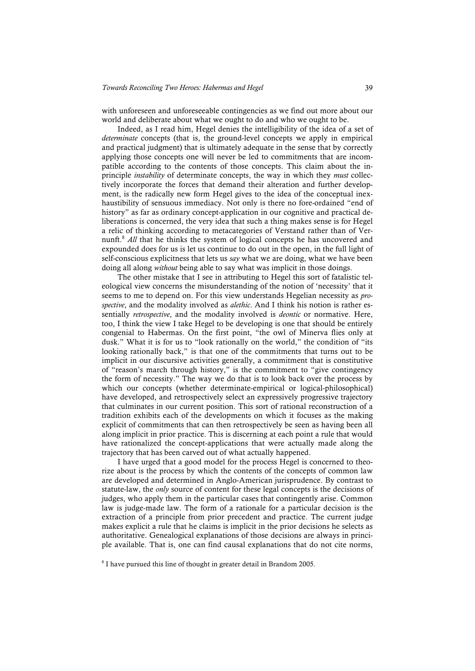with unforeseen and unforeseeable contingencies as we find out more about our world and deliberate about what we ought to do and who we ought to be.

Indeed, as I read him, Hegel denies the intelligibility of the idea of a set of *determinate* concepts (that is, the ground-level concepts we apply in empirical and practical judgment) that is ultimately adequate in the sense that by correctly applying those concepts one will never be led to commitments that are incompatible according to the contents of those concepts. This claim about the inprinciple *instability* of determinate concepts, the way in which they *must* collectively incorporate the forces that demand their alteration and further development, is the radically new form Hegel gives to the idea of the conceptual inexhaustibility of sensuous immediacy. Not only is there no fore-ordained "end of history" as far as ordinary concept-application in our cognitive and practical deliberations is concerned, the very idea that such a thing makes sense is for Hegel a relic of thinking according to metacategories of Verstand rather than of Vernunft. <sup>8</sup> *All* that he thinks the system of logical concepts he has uncovered and expounded does for us is let us continue to do out in the open, in the full light of self-conscious explicitness that lets us *say* what we are doing, what we have been doing all along *without* being able to say what was implicit in those doings.

The other mistake that I see in attributing to Hegel this sort of fatalistic teleological view concerns the misunderstanding of the notion of 'necessity' that it seems to me to depend on. For this view understands Hegelian necessity as *prospective*, and the modality involved as *alethic*. And I think his notion is rather essentially *retrospective*, and the modality involved is *deontic* or normative. Here, too, I think the view I take Hegel to be developing is one that should be entirely congenial to Habermas. On the first point, "the owl of Minerva flies only at dusk." What it is for us to "look rationally on the world," the condition of "its looking rationally back," is that one of the commitments that turns out to be implicit in our discursive activities generally, a commitment that is constitutive of "reason's march through history," is the commitment to "give contingency the form of necessity." The way we do that is to look back over the process by which our concepts (whether determinate-empirical or logical-philosophical) have developed, and retrospectively select an expressively progressive trajectory that culminates in our current position. This sort of rational reconstruction of a tradition exhibits each of the developments on which it focuses as the making explicit of commitments that can then retrospectively be seen as having been all along implicit in prior practice. This is discerning at each point a rule that would have rationalized the concept-applications that were actually made along the trajectory that has been carved out of what actually happened.

I have urged that a good model for the process Hegel is concerned to theorize about is the process by which the contents of the concepts of common law are developed and determined in Anglo-American jurisprudence. By contrast to statute-law, the *only* source of content for these legal concepts is the decisions of judges, who apply them in the particular cases that contingently arise. Common law is judge-made law. The form of a rationale for a particular decision is the extraction of a principle from prior precedent and practice. The current judge makes explicit a rule that he claims is implicit in the prior decisions he selects as authoritative. Genealogical explanations of those decisions are always in principle available. That is, one can find causal explanations that do not cite norms,

<sup>8</sup> I have pursued this line of thought in greater detail in Brandom 2005.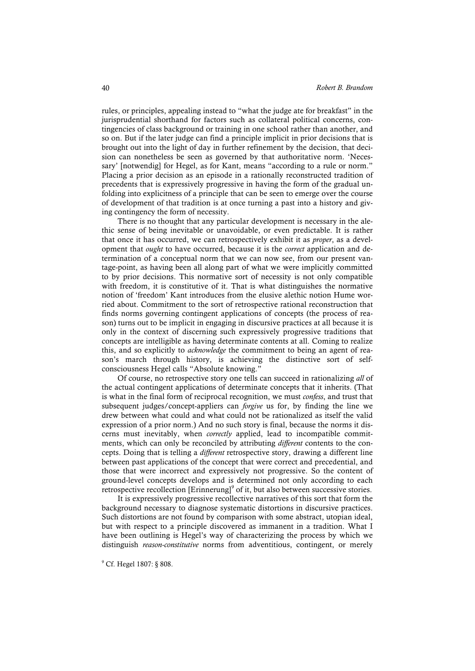rules, or principles, appealing instead to "what the judge ate for breakfast" in the jurisprudential shorthand for factors such as collateral political concerns, contingencies of class background or training in one school rather than another, and so on. But if the later judge can find a principle implicit in prior decisions that is brought out into the light of day in further refinement by the decision, that decision can nonetheless be seen as governed by that authoritative norm. 'Necessary' [notwendig] for Hegel, as for Kant, means "according to a rule or norm." Placing a prior decision as an episode in a rationally reconstructed tradition of precedents that is expressively progressive in having the form of the gradual unfolding into explicitness of a principle that can be seen to emerge over the course of development of that tradition is at once turning a past into a history and giving contingency the form of necessity.

There is no thought that any particular development is necessary in the alethic sense of being inevitable or unavoidable, or even predictable. It is rather that once it has occurred, we can retrospectively exhibit it as *proper*, as a development that *ought* to have occurred, because it is the *correct* application and determination of a conceptual norm that we can now see, from our present vantage-point, as having been all along part of what we were implicitly committed to by prior decisions. This normative sort of necessity is not only compatible with freedom, it is constitutive of it. That is what distinguishes the normative notion of 'freedom' Kant introduces from the elusive alethic notion Hume worried about. Commitment to the sort of retrospective rational reconstruction that finds norms governing contingent applications of concepts (the process of reason) turns out to be implicit in engaging in discursive practices at all because it is only in the context of discerning such expressively progressive traditions that concepts are intelligible as having determinate contents at all. Coming to realize this, and so explicitly to *acknowledge* the commitment to being an agent of reason's march through history, is achieving the distinctive sort of selfconsciousness Hegel calls "Absolute knowing."

Of course, no retrospective story one tells can succeed in rationalizing *all* of the actual contingent applications of determinate concepts that it inherits. (That is what in the final form of reciprocal recognition, we must *confess*, and trust that subsequent judges/concept-appliers can *forgive* us for, by finding the line we drew between what could and what could not be rationalized as itself the valid expression of a prior norm.) And no such story is final, because the norms it discerns must inevitably, when *correctly* applied, lead to incompatible commitments, which can only be reconciled by attributing *different* contents to the concepts. Doing that is telling a *different* retrospective story, drawing a different line between past applications of the concept that were correct and precedential, and those that were incorrect and expressively not progressive. So the content of ground-level concepts develops and is determined not only according to each retrospective recollection  $[Erinnerung]^\circ$  of it, but also between successive stories.

It is expressively progressive recollective narratives of this sort that form the background necessary to diagnose systematic distortions in discursive practices. Such distortions are not found by comparison with some abstract, utopian ideal, but with respect to a principle discovered as immanent in a tradition. What I have been outlining is Hegel's way of characterizing the process by which we distinguish *reason-constitutive* norms from adventitious, contingent, or merely

<sup>9</sup> Cf. Hegel 1807: § 808.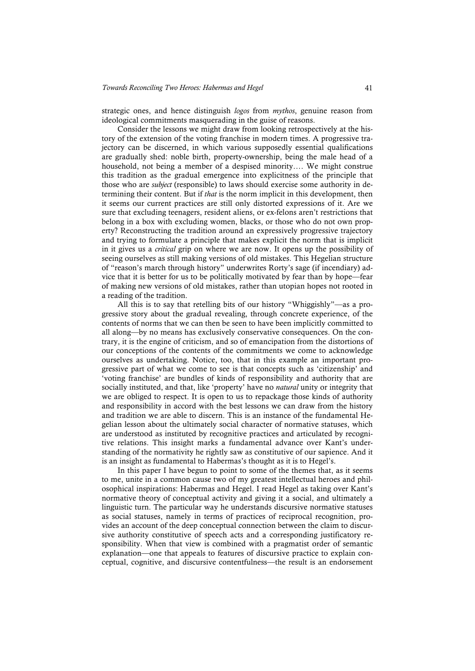strategic ones, and hence distinguish *logos* from *mythos*, genuine reason from ideological commitments masquerading in the guise of reasons.

Consider the lessons we might draw from looking retrospectively at the history of the extension of the voting franchise in modern times. A progressive trajectory can be discerned, in which various supposedly essential qualifications are gradually shed: noble birth, property-ownership, being the male head of a household, not being a member of a despised minority…. We might construe this tradition as the gradual emergence into explicitness of the principle that those who are *subject* (responsible) to laws should exercise some authority in determining their content. But if *that* is the norm implicit in this development, then it seems our current practices are still only distorted expressions of it. Are we sure that excluding teenagers, resident aliens, or ex-felons aren't restrictions that belong in a box with excluding women, blacks, or those who do not own property? Reconstructing the tradition around an expressively progressive trajectory and trying to formulate a principle that makes explicit the norm that is implicit in it gives us a *critical* grip on where we are now. It opens up the possibility of seeing ourselves as still making versions of old mistakes. This Hegelian structure of "reason's march through history" underwrites Rorty's sage (if incendiary) advice that it is better for us to be politically motivated by fear than by hope—fear of making new versions of old mistakes, rather than utopian hopes not rooted in a reading of the tradition.

All this is to say that retelling bits of our history "Whiggishly"—as a progressive story about the gradual revealing, through concrete experience, of the contents of norms that we can then be seen to have been implicitly committed to all along—by no means has exclusively conservative consequences. On the contrary, it is the engine of criticism, and so of emancipation from the distortions of our conceptions of the contents of the commitments we come to acknowledge ourselves as undertaking. Notice, too, that in this example an important progressive part of what we come to see is that concepts such as 'citizenship' and 'voting franchise' are bundles of kinds of responsibility and authority that are socially instituted, and that, like 'property' have no *natural* unity or integrity that we are obliged to respect. It is open to us to repackage those kinds of authority and responsibility in accord with the best lessons we can draw from the history and tradition we are able to discern. This is an instance of the fundamental Hegelian lesson about the ultimately social character of normative statuses, which are understood as instituted by recognitive practices and articulated by recognitive relations. This insight marks a fundamental advance over Kant's understanding of the normativity he rightly saw as constitutive of our sapience. And it is an insight as fundamental to Habermas's thought as it is to Hegel's.

In this paper I have begun to point to some of the themes that, as it seems to me, unite in a common cause two of my greatest intellectual heroes and philosophical inspirations: Habermas and Hegel. I read Hegel as taking over Kant's normative theory of conceptual activity and giving it a social, and ultimately a linguistic turn. The particular way he understands discursive normative statuses as social statuses, namely in terms of practices of reciprocal recognition, provides an account of the deep conceptual connection between the claim to discursive authority constitutive of speech acts and a corresponding justificatory responsibility. When that view is combined with a pragmatist order of semantic explanation—one that appeals to features of discursive practice to explain conceptual, cognitive, and discursive contentfulness—the result is an endorsement